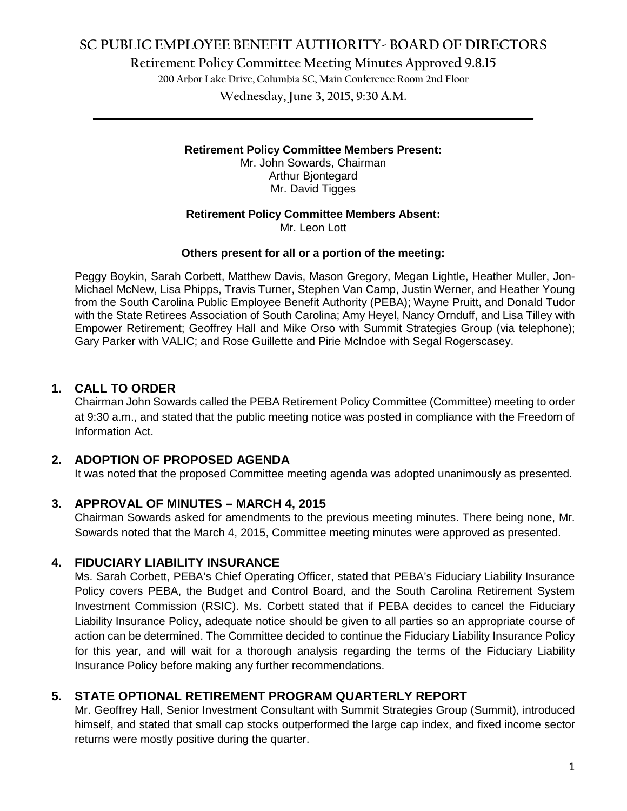**Retirement Policy Committee Meeting Minutes Approved 9.8.15**

**200 Arbor Lake Drive, Columbia SC, Main Conference Room 2nd Floor**

**Wednesday, June 3, 2015, 9:30 A.M. \_\_\_\_\_\_\_\_\_\_\_\_\_\_\_\_\_\_\_\_\_\_\_\_\_\_\_\_\_\_\_\_\_\_\_\_\_\_\_\_\_\_\_\_\_\_\_\_\_\_\_\_\_\_\_\_\_\_\_\_\_\_\_\_\_\_\_\_\_\_\_\_**

### **Retirement Policy Committee Members Present:**

Mr. John Sowards, Chairman Arthur Bjontegard Mr. David Tigges

### **Retirement Policy Committee Members Absent:**

Mr. Leon Lott

#### **Others present for all or a portion of the meeting:**

Peggy Boykin, Sarah Corbett, Matthew Davis, Mason Gregory, Megan Lightle, Heather Muller, Jon-Michael McNew, Lisa Phipps, Travis Turner, Stephen Van Camp, Justin Werner, and Heather Young from the South Carolina Public Employee Benefit Authority (PEBA); Wayne Pruitt, and Donald Tudor with the State Retirees Association of South Carolina; Amy Heyel, Nancy Ornduff, and Lisa Tilley with Empower Retirement; Geoffrey Hall and Mike Orso with Summit Strategies Group (via telephone); Gary Parker with VALIC; and Rose Guillette and Pirie Mclndoe with Segal Rogerscasey.

## **1. CALL TO ORDER**

Chairman John Sowards called the PEBA Retirement Policy Committee (Committee) meeting to order at 9:30 a.m., and stated that the public meeting notice was posted in compliance with the Freedom of Information Act.

## **2. ADOPTION OF PROPOSED AGENDA**

It was noted that the proposed Committee meeting agenda was adopted unanimously as presented.

#### **3. APPROVAL OF MINUTES – MARCH 4, 2015**

Chairman Sowards asked for amendments to the previous meeting minutes. There being none, Mr. Sowards noted that the March 4, 2015, Committee meeting minutes were approved as presented.

#### **4. FIDUCIARY LIABILITY INSURANCE**

Ms. Sarah Corbett, PEBA's Chief Operating Officer, stated that PEBA's Fiduciary Liability Insurance Policy covers PEBA, the Budget and Control Board, and the South Carolina Retirement System Investment Commission (RSIC). Ms. Corbett stated that if PEBA decides to cancel the Fiduciary Liability Insurance Policy, adequate notice should be given to all parties so an appropriate course of action can be determined. The Committee decided to continue the Fiduciary Liability Insurance Policy for this year, and will wait for a thorough analysis regarding the terms of the Fiduciary Liability Insurance Policy before making any further recommendations.

## **5. STATE OPTIONAL RETIREMENT PROGRAM QUARTERLY REPORT**

Mr. Geoffrey Hall, Senior Investment Consultant with Summit Strategies Group (Summit), introduced himself, and stated that small cap stocks outperformed the large cap index, and fixed income sector returns were mostly positive during the quarter.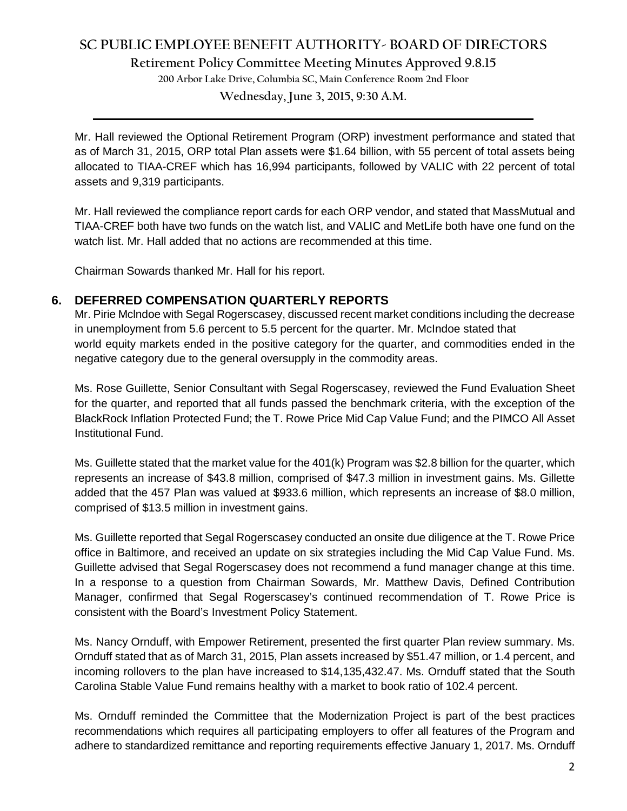**Retirement Policy Committee Meeting Minutes Approved 9.8.15**

**200 Arbor Lake Drive, Columbia SC, Main Conference Room 2nd Floor**

**Wednesday, June 3, 2015, 9:30 A.M. \_\_\_\_\_\_\_\_\_\_\_\_\_\_\_\_\_\_\_\_\_\_\_\_\_\_\_\_\_\_\_\_\_\_\_\_\_\_\_\_\_\_\_\_\_\_\_\_\_\_\_\_\_\_\_\_\_\_\_\_\_\_\_\_\_\_\_\_\_\_\_\_**

Mr. Hall reviewed the Optional Retirement Program (ORP) investment performance and stated that as of March 31, 2015, ORP total Plan assets were \$1.64 billion, with 55 percent of total assets being allocated to TIAA-CREF which has 16,994 participants, followed by VALIC with 22 percent of total assets and 9,319 participants.

Mr. Hall reviewed the compliance report cards for each ORP vendor, and stated that MassMutual and TIAA-CREF both have two funds on the watch list, and VALIC and MetLife both have one fund on the watch list. Mr. Hall added that no actions are recommended at this time.

Chairman Sowards thanked Mr. Hall for his report.

#### **6. DEFERRED COMPENSATION QUARTERLY REPORTS**

Mr. Pirie Mclndoe with Segal Rogerscasey, discussed recent market conditions including the decrease in unemployment from 5.6 percent to 5.5 percent for the quarter. Mr. McIndoe stated that world equity markets ended in the positive category for the quarter, and commodities ended in the negative category due to the general oversupply in the commodity areas.

Ms. Rose Guillette, Senior Consultant with Segal Rogerscasey, reviewed the Fund Evaluation Sheet for the quarter, and reported that all funds passed the benchmark criteria, with the exception of the BlackRock Inflation Protected Fund; the T. Rowe Price Mid Cap Value Fund; and the PIMCO All Asset Institutional Fund.

Ms. Guillette stated that the market value for the 401(k) Program was \$2.8 billion for the quarter, which represents an increase of \$43.8 million, comprised of \$47.3 million in investment gains. Ms. Gillette added that the 457 Plan was valued at \$933.6 million, which represents an increase of \$8.0 million, comprised of \$13.5 million in investment gains.

Ms. Guillette reported that Segal Rogerscasey conducted an onsite due diligence at the T. Rowe Price office in Baltimore, and received an update on six strategies including the Mid Cap Value Fund. Ms. Guillette advised that Segal Rogerscasey does not recommend a fund manager change at this time. In a response to a question from Chairman Sowards, Mr. Matthew Davis, Defined Contribution Manager, confirmed that Segal Rogerscasey's continued recommendation of T. Rowe Price is consistent with the Board's Investment Policy Statement.

Ms. Nancy Ornduff, with Empower Retirement, presented the first quarter Plan review summary. Ms. Ornduff stated that as of March 31, 2015, Plan assets increased by \$51.47 million, or 1.4 percent, and incoming rollovers to the plan have increased to \$14,135,432.47. Ms. Ornduff stated that the South Carolina Stable Value Fund remains healthy with a market to book ratio of 102.4 percent.

Ms. Ornduff reminded the Committee that the Modernization Project is part of the best practices recommendations which requires all participating employers to offer all features of the Program and adhere to standardized remittance and reporting requirements effective January 1, 2017. Ms. Ornduff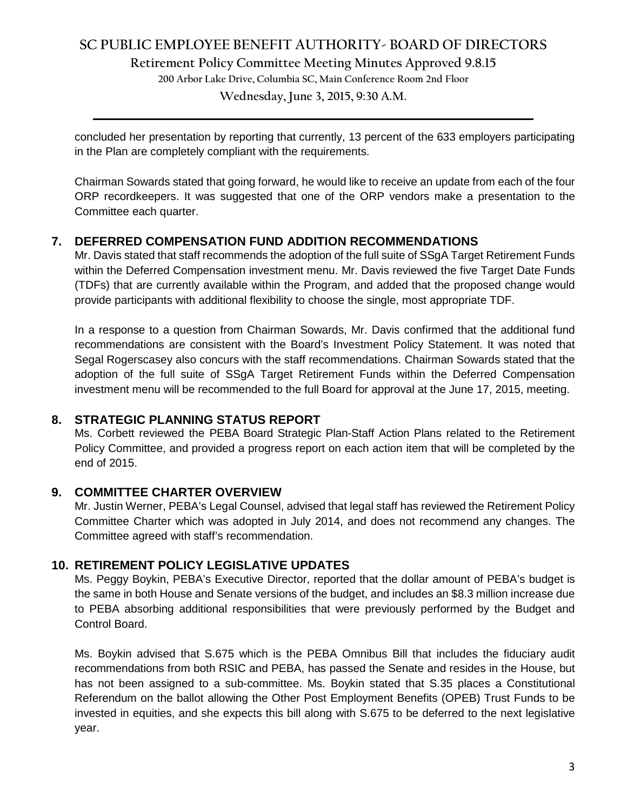**Retirement Policy Committee Meeting Minutes Approved 9.8.15**

**200 Arbor Lake Drive, Columbia SC, Main Conference Room 2nd Floor**

**Wednesday, June 3, 2015, 9:30 A.M. \_\_\_\_\_\_\_\_\_\_\_\_\_\_\_\_\_\_\_\_\_\_\_\_\_\_\_\_\_\_\_\_\_\_\_\_\_\_\_\_\_\_\_\_\_\_\_\_\_\_\_\_\_\_\_\_\_\_\_\_\_\_\_\_\_\_\_\_\_\_\_\_**

concluded her presentation by reporting that currently, 13 percent of the 633 employers participating in the Plan are completely compliant with the requirements.

Chairman Sowards stated that going forward, he would like to receive an update from each of the four ORP recordkeepers. It was suggested that one of the ORP vendors make a presentation to the Committee each quarter.

### **7. DEFERRED COMPENSATION FUND ADDITION RECOMMENDATIONS**

Mr. Davis stated that staff recommends the adoption of the full suite of SSgA Target Retirement Funds within the Deferred Compensation investment menu. Mr. Davis reviewed the five Target Date Funds (TDFs) that are currently available within the Program, and added that the proposed change would provide participants with additional flexibility to choose the single, most appropriate TDF.

In a response to a question from Chairman Sowards, Mr. Davis confirmed that the additional fund recommendations are consistent with the Board's Investment Policy Statement. It was noted that Segal Rogerscasey also concurs with the staff recommendations. Chairman Sowards stated that the adoption of the full suite of SSgA Target Retirement Funds within the Deferred Compensation investment menu will be recommended to the full Board for approval at the June 17, 2015, meeting.

#### **8. STRATEGIC PLANNING STATUS REPORT**

Ms. Corbett reviewed the PEBA Board Strategic Plan-Staff Action Plans related to the Retirement Policy Committee, and provided a progress report on each action item that will be completed by the end of 2015.

#### **9. COMMITTEE CHARTER OVERVIEW**

Mr. Justin Werner, PEBA's Legal Counsel, advised that legal staff has reviewed the Retirement Policy Committee Charter which was adopted in July 2014, and does not recommend any changes. The Committee agreed with staff's recommendation.

## **10. RETIREMENT POLICY LEGISLATIVE UPDATES**

Ms. Peggy Boykin, PEBA's Executive Director, reported that the dollar amount of PEBA's budget is the same in both House and Senate versions of the budget, and includes an \$8.3 million increase due to PEBA absorbing additional responsibilities that were previously performed by the Budget and Control Board.

Ms. Boykin advised that S.675 which is the PEBA Omnibus Bill that includes the fiduciary audit recommendations from both RSIC and PEBA, has passed the Senate and resides in the House, but has not been assigned to a sub-committee. Ms. Boykin stated that S.35 places a Constitutional Referendum on the ballot allowing the Other Post Employment Benefits (OPEB) Trust Funds to be invested in equities, and she expects this bill along with S.675 to be deferred to the next legislative year.